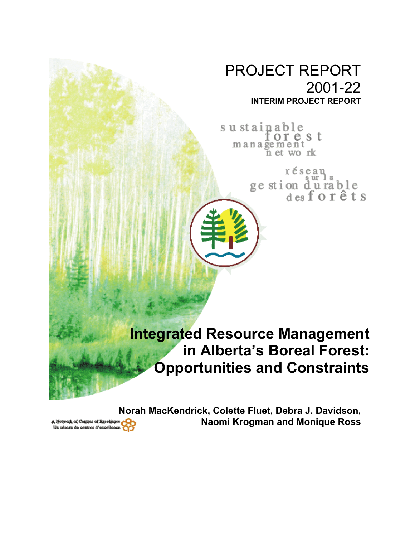## PROJECT REPORT 2001-22 **INTERIM PROJECT REPORT**

sustainable orest management n et work

> réseau ge stion du rable<br>desforêts

## **Integrated Resource Management in Alberta's Boreal Forest: Opportunities and Constraints**

**Norah MacKendrick, Colette Fluet, Debra J. Davidson, Naomi Krogman and Monique Ross**

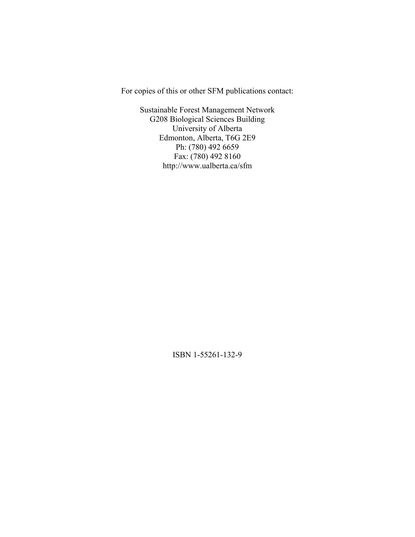For copies of this or other SFM publications contact:

Sustainable Forest Management Network G208 Biological Sciences Building University of Alberta Edmonton, Alberta, T6G 2E9 Ph: (780) 492 6659 Fax: (780) 492 8160 http://www.ualberta.ca/sfm

ISBN 1-55261-132-9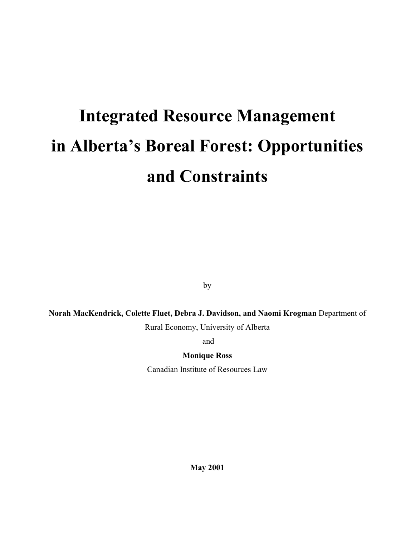# **Integrated Resource Management in Alberta's Boreal Forest: Opportunities and Constraints**

by

**Norah MacKendrick, Colette Fluet, Debra J. Davidson, and Naomi Krogman** Department of

Rural Economy, University of Alberta

and

**Monique Ross** 

Canadian Institute of Resources Law

**May 2001**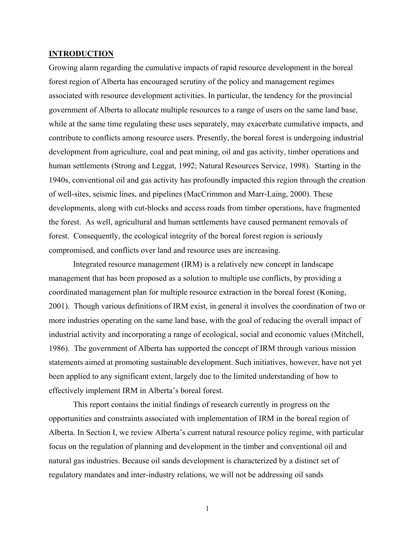#### **INTRODUCTION**

Growing alarm regarding the cumulative impacts of rapid resource development in the boreal forest region of Alberta has encouraged scrutiny of the policy and management regimes associated with resource development activities. In particular, the tendency for the provincial government of Alberta to allocate multiple resources to a range of users on the same land base, while at the same time regulating these uses separately, may exacerbate cumulative impacts, and contribute to conflicts among resource users. Presently, the boreal forest is undergoing industrial development from agriculture, coal and peat mining, oil and gas activity, timber operations and human settlements (Strong and Leggat, 1992; Natural Resources Service, 1998). Starting in the 1940s, conventional oil and gas activity has profoundly impacted this region through the creation of well-sites, seismic lines, and pipelines (MacCrimmon and Marr-Laing, 2000). These developments, along with cut-blocks and access roads from timber operations, have fragmented the forest. As well, agricultural and human settlements have caused permanent removals of forest. Consequently, the ecological integrity of the boreal forest region is seriously compromised, and conflicts over land and resource uses are increasing.

Integrated resource management (IRM) is a relatively new concept in landscape management that has been proposed as a solution to multiple use conflicts, by providing a coordinated management plan for multiple resource extraction in the boreal forest (Koning, 2001). Though various definitions of IRM exist, in general it involves the coordination of two or more industries operating on the same land base, with the goal of reducing the overall impact of industrial activity and incorporating a range of ecological, social and economic values (Mitchell, 1986). The government of Alberta has supported the concept of IRM through various mission statements aimed at promoting sustainable development. Such initiatives, however, have not yet been applied to any significant extent, largely due to the limited understanding of how to effectively implement IRM in Alberta's boreal forest.

This report contains the initial findings of research currently in progress on the opportunities and constraints associated with implementation of IRM in the boreal region of Alberta. In Section I, we review Alberta's current natural resource policy regime, with particular focus on the regulation of planning and development in the timber and conventional oil and natural gas industries. Because oil sands development is characterized by a distinct set of regulatory mandates and inter-industry relations, we will not be addressing oil sands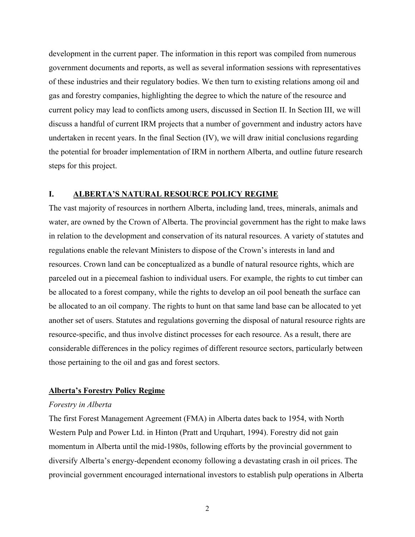development in the current paper. The information in this report was compiled from numerous government documents and reports, as well as several information sessions with representatives of these industries and their regulatory bodies. We then turn to existing relations among oil and gas and forestry companies, highlighting the degree to which the nature of the resource and current policy may lead to conflicts among users, discussed in Section II. In Section III, we will discuss a handful of current IRM projects that a number of government and industry actors have undertaken in recent years. In the final Section (IV), we will draw initial conclusions regarding the potential for broader implementation of IRM in northern Alberta, and outline future research steps for this project.

#### **I. ALBERTA'S NATURAL RESOURCE POLICY REGIME**

The vast majority of resources in northern Alberta, including land, trees, minerals, animals and water, are owned by the Crown of Alberta. The provincial government has the right to make laws in relation to the development and conservation of its natural resources. A variety of statutes and regulations enable the relevant Ministers to dispose of the Crown's interests in land and resources. Crown land can be conceptualized as a bundle of natural resource rights, which are parceled out in a piecemeal fashion to individual users. For example, the rights to cut timber can be allocated to a forest company, while the rights to develop an oil pool beneath the surface can be allocated to an oil company. The rights to hunt on that same land base can be allocated to yet another set of users. Statutes and regulations governing the disposal of natural resource rights are resource-specific, and thus involve distinct processes for each resource. As a result, there are considerable differences in the policy regimes of different resource sectors, particularly between those pertaining to the oil and gas and forest sectors.

#### **Alberta's Forestry Policy Regime**

#### *Forestry in Alberta*

The first Forest Management Agreement (FMA) in Alberta dates back to 1954, with North Western Pulp and Power Ltd. in Hinton (Pratt and Urquhart, 1994). Forestry did not gain momentum in Alberta until the mid-1980s, following efforts by the provincial government to diversify Alberta's energy-dependent economy following a devastating crash in oil prices. The provincial government encouraged international investors to establish pulp operations in Alberta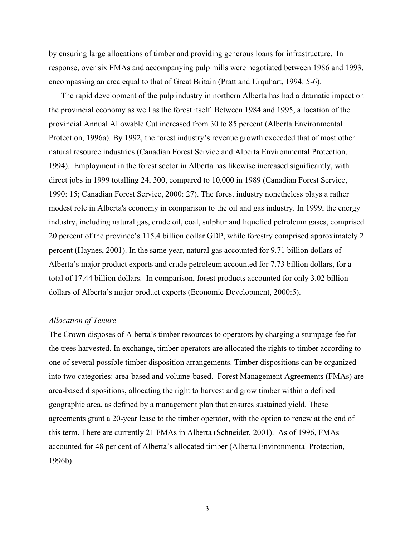by ensuring large allocations of timber and providing generous loans for infrastructure. In response, over six FMAs and accompanying pulp mills were negotiated between 1986 and 1993, encompassing an area equal to that of Great Britain (Pratt and Urquhart, 1994: 5-6).

The rapid development of the pulp industry in northern Alberta has had a dramatic impact on the provincial economy as well as the forest itself. Between 1984 and 1995, allocation of the provincial Annual Allowable Cut increased from 30 to 85 percent (Alberta Environmental Protection, 1996a). By 1992, the forest industry's revenue growth exceeded that of most other natural resource industries (Canadian Forest Service and Alberta Environmental Protection, 1994). Employment in the forest sector in Alberta has likewise increased significantly, with direct jobs in 1999 totalling 24, 300, compared to 10,000 in 1989 (Canadian Forest Service, 1990: 15; Canadian Forest Service, 2000: 27). The forest industry nonetheless plays a rather modest role in Alberta's economy in comparison to the oil and gas industry. In 1999, the energy industry, including natural gas, crude oil, coal, sulphur and liquefied petroleum gases, comprised 20 percent of the province's 115.4 billion dollar GDP, while forestry comprised approximately 2 percent (Haynes, 2001). In the same year, natural gas accounted for 9.71 billion dollars of Alberta's major product exports and crude petroleum accounted for 7.73 billion dollars, for a total of 17.44 billion dollars. In comparison, forest products accounted for only 3.02 billion dollars of Alberta's major product exports (Economic Development, 2000:5).

#### *Allocation of Tenure*

The Crown disposes of Alberta's timber resources to operators by charging a stumpage fee for the trees harvested. In exchange, timber operators are allocated the rights to timber according to one of several possible timber disposition arrangements. Timber dispositions can be organized into two categories: area-based and volume-based. Forest Management Agreements (FMAs) are area-based dispositions, allocating the right to harvest and grow timber within a defined geographic area, as defined by a management plan that ensures sustained yield. These agreements grant a 20-year lease to the timber operator, with the option to renew at the end of this term. There are currently 21 FMAs in Alberta (Schneider, 2001). As of 1996, FMAs accounted for 48 per cent of Alberta's allocated timber (Alberta Environmental Protection, 1996b).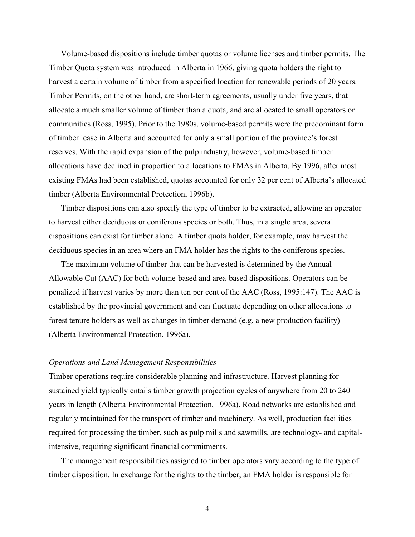Volume-based dispositions include timber quotas or volume licenses and timber permits. The Timber Quota system was introduced in Alberta in 1966, giving quota holders the right to harvest a certain volume of timber from a specified location for renewable periods of 20 years. Timber Permits, on the other hand, are short-term agreements, usually under five years, that allocate a much smaller volume of timber than a quota, and are allocated to small operators or communities (Ross, 1995). Prior to the 1980s, volume-based permits were the predominant form of timber lease in Alberta and accounted for only a small portion of the province's forest reserves. With the rapid expansion of the pulp industry, however, volume-based timber allocations have declined in proportion to allocations to FMAs in Alberta. By 1996, after most existing FMAs had been established, quotas accounted for only 32 per cent of Alberta's allocated timber (Alberta Environmental Protection, 1996b).

Timber dispositions can also specify the type of timber to be extracted, allowing an operator to harvest either deciduous or coniferous species or both. Thus, in a single area, several dispositions can exist for timber alone. A timber quota holder, for example, may harvest the deciduous species in an area where an FMA holder has the rights to the coniferous species.

The maximum volume of timber that can be harvested is determined by the Annual Allowable Cut (AAC) for both volume-based and area-based dispositions. Operators can be penalized if harvest varies by more than ten per cent of the AAC (Ross, 1995:147). The AAC is established by the provincial government and can fluctuate depending on other allocations to forest tenure holders as well as changes in timber demand (e.g. a new production facility) (Alberta Environmental Protection, 1996a).

#### *Operations and Land Management Responsibilities*

Timber operations require considerable planning and infrastructure. Harvest planning for sustained yield typically entails timber growth projection cycles of anywhere from 20 to 240 years in length (Alberta Environmental Protection, 1996a). Road networks are established and regularly maintained for the transport of timber and machinery. As well, production facilities required for processing the timber, such as pulp mills and sawmills, are technology- and capitalintensive, requiring significant financial commitments.

The management responsibilities assigned to timber operators vary according to the type of timber disposition. In exchange for the rights to the timber, an FMA holder is responsible for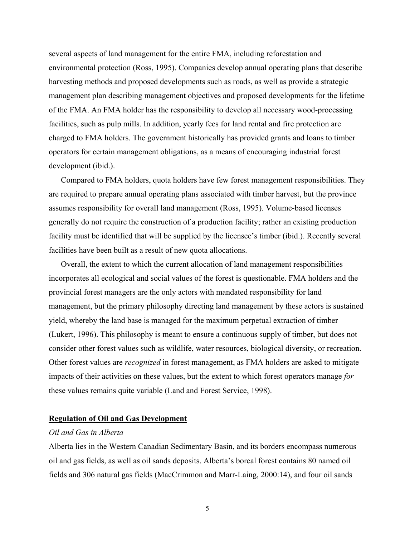several aspects of land management for the entire FMA, including reforestation and environmental protection (Ross, 1995). Companies develop annual operating plans that describe harvesting methods and proposed developments such as roads, as well as provide a strategic management plan describing management objectives and proposed developments for the lifetime of the FMA. An FMA holder has the responsibility to develop all necessary wood-processing facilities, such as pulp mills. In addition, yearly fees for land rental and fire protection are charged to FMA holders. The government historically has provided grants and loans to timber operators for certain management obligations, as a means of encouraging industrial forest development (ibid.).

Compared to FMA holders, quota holders have few forest management responsibilities. They are required to prepare annual operating plans associated with timber harvest, but the province assumes responsibility for overall land management (Ross, 1995). Volume-based licenses generally do not require the construction of a production facility; rather an existing production facility must be identified that will be supplied by the licensee's timber (ibid.). Recently several facilities have been built as a result of new quota allocations.

Overall, the extent to which the current allocation of land management responsibilities incorporates all ecological and social values of the forest is questionable. FMA holders and the provincial forest managers are the only actors with mandated responsibility for land management, but the primary philosophy directing land management by these actors is sustained yield, whereby the land base is managed for the maximum perpetual extraction of timber (Lukert, 1996). This philosophy is meant to ensure a continuous supply of timber, but does not consider other forest values such as wildlife, water resources, biological diversity, or recreation. Other forest values are *recognized* in forest management, as FMA holders are asked to mitigate impacts of their activities on these values, but the extent to which forest operators manage *for* these values remains quite variable (Land and Forest Service, 1998).

#### **Regulation of Oil and Gas Development**

#### *Oil and Gas in Alberta*

Alberta lies in the Western Canadian Sedimentary Basin, and its borders encompass numerous oil and gas fields, as well as oil sands deposits. Alberta's boreal forest contains 80 named oil fields and 306 natural gas fields (MacCrimmon and Marr-Laing, 2000:14), and four oil sands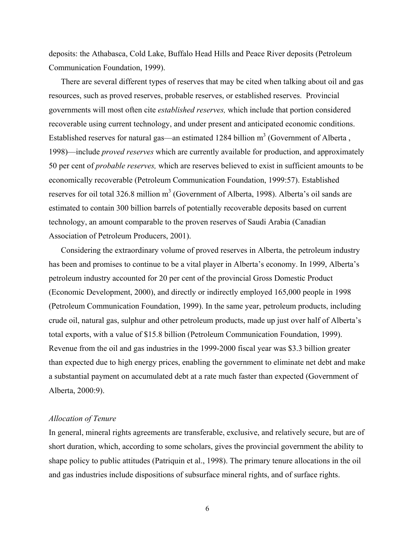deposits: the Athabasca, Cold Lake, Buffalo Head Hills and Peace River deposits (Petroleum Communication Foundation, 1999).

There are several different types of reserves that may be cited when talking about oil and gas resources, such as proved reserves, probable reserves, or established reserves. Provincial governments will most often cite *established reserves,* which include that portion considered recoverable using current technology, and under present and anticipated economic conditions. Established reserves for natural gas—an estimated 1284 billion  $m<sup>3</sup>$  (Government of Alberta, 1998)—include *proved reserves* which are currently available for production, and approximately 50 per cent of *probable reserves,* which are reserves believed to exist in sufficient amounts to be economically recoverable (Petroleum Communication Foundation, 1999:57). Established reserves for oil total 326.8 million  $m<sup>3</sup>$  (Government of Alberta, 1998). Alberta's oil sands are estimated to contain 300 billion barrels of potentially recoverable deposits based on current technology, an amount comparable to the proven reserves of Saudi Arabia (Canadian Association of Petroleum Producers, 2001).

Considering the extraordinary volume of proved reserves in Alberta, the petroleum industry has been and promises to continue to be a vital player in Alberta's economy. In 1999, Alberta's petroleum industry accounted for 20 per cent of the provincial Gross Domestic Product (Economic Development, 2000), and directly or indirectly employed 165,000 people in 1998 (Petroleum Communication Foundation, 1999). In the same year, petroleum products, including crude oil, natural gas, sulphur and other petroleum products, made up just over half of Alberta's total exports, with a value of \$15.8 billion (Petroleum Communication Foundation, 1999). Revenue from the oil and gas industries in the 1999-2000 fiscal year was \$3.3 billion greater than expected due to high energy prices, enabling the government to eliminate net debt and make a substantial payment on accumulated debt at a rate much faster than expected (Government of Alberta, 2000:9).

#### *Allocation of Tenure*

In general, mineral rights agreements are transferable, exclusive, and relatively secure, but are of short duration, which, according to some scholars, gives the provincial government the ability to shape policy to public attitudes (Patriquin et al., 1998). The primary tenure allocations in the oil and gas industries include dispositions of subsurface mineral rights, and of surface rights.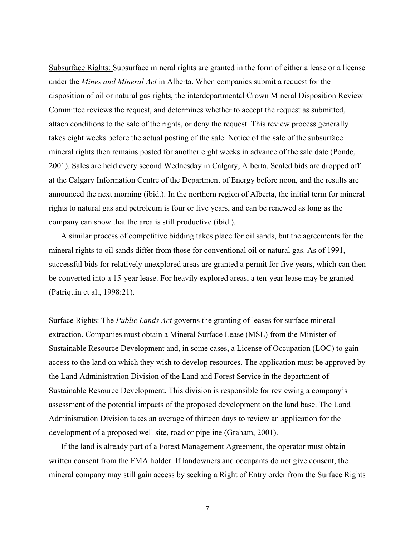Subsurface Rights: Subsurface mineral rights are granted in the form of either a lease or a license under the *Mines and Mineral Act* in Alberta. When companies submit a request for the disposition of oil or natural gas rights, the interdepartmental Crown Mineral Disposition Review Committee reviews the request, and determines whether to accept the request as submitted, attach conditions to the sale of the rights, or deny the request. This review process generally takes eight weeks before the actual posting of the sale. Notice of the sale of the subsurface mineral rights then remains posted for another eight weeks in advance of the sale date (Ponde, 2001). Sales are held every second Wednesday in Calgary, Alberta. Sealed bids are dropped off at the Calgary Information Centre of the Department of Energy before noon, and the results are announced the next morning (ibid.). In the northern region of Alberta, the initial term for mineral rights to natural gas and petroleum is four or five years, and can be renewed as long as the company can show that the area is still productive (ibid.).

A similar process of competitive bidding takes place for oil sands, but the agreements for the mineral rights to oil sands differ from those for conventional oil or natural gas. As of 1991, successful bids for relatively unexplored areas are granted a permit for five years, which can then be converted into a 15-year lease. For heavily explored areas, a ten-year lease may be granted (Patriquin et al., 1998:21).

Surface Rights: The *Public Lands Act* governs the granting of leases for surface mineral extraction. Companies must obtain a Mineral Surface Lease (MSL) from the Minister of Sustainable Resource Development and, in some cases, a License of Occupation (LOC) to gain access to the land on which they wish to develop resources. The application must be approved by the Land Administration Division of the Land and Forest Service in the department of Sustainable Resource Development. This division is responsible for reviewing a company's assessment of the potential impacts of the proposed development on the land base. The Land Administration Division takes an average of thirteen days to review an application for the development of a proposed well site, road or pipeline (Graham, 2001).

If the land is already part of a Forest Management Agreement, the operator must obtain written consent from the FMA holder. If landowners and occupants do not give consent, the mineral company may still gain access by seeking a Right of Entry order from the Surface Rights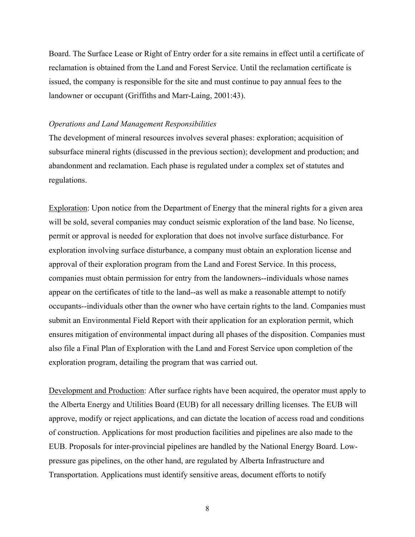Board. The Surface Lease or Right of Entry order for a site remains in effect until a certificate of reclamation is obtained from the Land and Forest Service. Until the reclamation certificate is issued, the company is responsible for the site and must continue to pay annual fees to the landowner or occupant (Griffiths and Marr-Laing, 2001:43).

#### *Operations and Land Management Responsibilities*

The development of mineral resources involves several phases: exploration; acquisition of subsurface mineral rights (discussed in the previous section); development and production; and abandonment and reclamation. Each phase is regulated under a complex set of statutes and regulations.

Exploration: Upon notice from the Department of Energy that the mineral rights for a given area will be sold, several companies may conduct seismic exploration of the land base. No license, permit or approval is needed for exploration that does not involve surface disturbance. For exploration involving surface disturbance, a company must obtain an exploration license and approval of their exploration program from the Land and Forest Service. In this process, companies must obtain permission for entry from the landowners--individuals whose names appear on the certificates of title to the land--as well as make a reasonable attempt to notify occupants--individuals other than the owner who have certain rights to the land. Companies must submit an Environmental Field Report with their application for an exploration permit, which ensures mitigation of environmental impact during all phases of the disposition. Companies must also file a Final Plan of Exploration with the Land and Forest Service upon completion of the exploration program, detailing the program that was carried out.

Development and Production: After surface rights have been acquired, the operator must apply to the Alberta Energy and Utilities Board (EUB) for all necessary drilling licenses. The EUB will approve, modify or reject applications, and can dictate the location of access road and conditions of construction. Applications for most production facilities and pipelines are also made to the EUB. Proposals for inter-provincial pipelines are handled by the National Energy Board. Lowpressure gas pipelines, on the other hand, are regulated by Alberta Infrastructure and Transportation. Applications must identify sensitive areas, document efforts to notify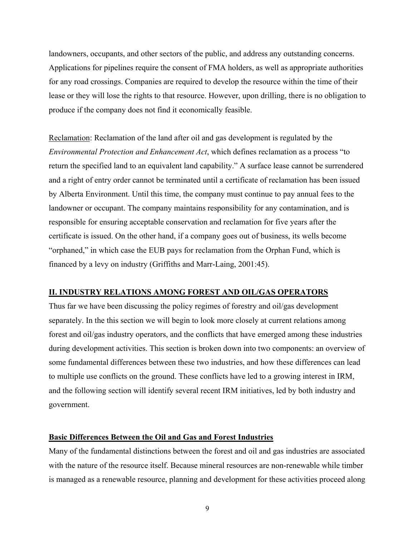landowners, occupants, and other sectors of the public, and address any outstanding concerns. Applications for pipelines require the consent of FMA holders, as well as appropriate authorities for any road crossings. Companies are required to develop the resource within the time of their lease or they will lose the rights to that resource. However, upon drilling, there is no obligation to produce if the company does not find it economically feasible.

Reclamation: Reclamation of the land after oil and gas development is regulated by the *Environmental Protection and Enhancement Act*, which defines reclamation as a process "to return the specified land to an equivalent land capability." A surface lease cannot be surrendered and a right of entry order cannot be terminated until a certificate of reclamation has been issued by Alberta Environment. Until this time, the company must continue to pay annual fees to the landowner or occupant. The company maintains responsibility for any contamination, and is responsible for ensuring acceptable conservation and reclamation for five years after the certificate is issued. On the other hand, if a company goes out of business, its wells become "orphaned," in which case the EUB pays for reclamation from the Orphan Fund, which is financed by a levy on industry (Griffiths and Marr-Laing, 2001:45).

#### **II. INDUSTRY RELATIONS AMONG FOREST AND OIL/GAS OPERATORS**

Thus far we have been discussing the policy regimes of forestry and oil/gas development separately. In the this section we will begin to look more closely at current relations among forest and oil/gas industry operators, and the conflicts that have emerged among these industries during development activities. This section is broken down into two components: an overview of some fundamental differences between these two industries, and how these differences can lead to multiple use conflicts on the ground. These conflicts have led to a growing interest in IRM, and the following section will identify several recent IRM initiatives, led by both industry and government.

#### **Basic Differences Between the Oil and Gas and Forest Industries**

Many of the fundamental distinctions between the forest and oil and gas industries are associated with the nature of the resource itself. Because mineral resources are non-renewable while timber is managed as a renewable resource, planning and development for these activities proceed along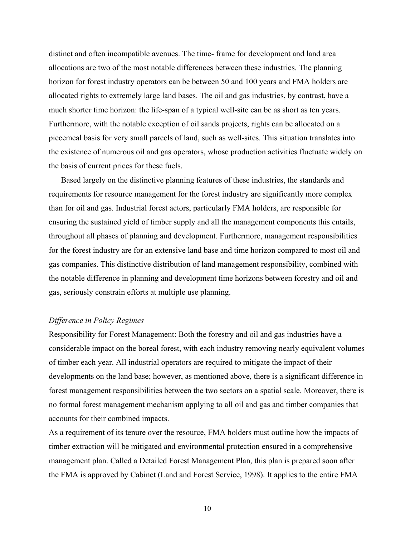distinct and often incompatible avenues. The time- frame for development and land area allocations are two of the most notable differences between these industries. The planning horizon for forest industry operators can be between 50 and 100 years and FMA holders are allocated rights to extremely large land bases. The oil and gas industries, by contrast, have a much shorter time horizon: the life-span of a typical well-site can be as short as ten years. Furthermore, with the notable exception of oil sands projects, rights can be allocated on a piecemeal basis for very small parcels of land, such as well-sites. This situation translates into the existence of numerous oil and gas operators, whose production activities fluctuate widely on the basis of current prices for these fuels.

Based largely on the distinctive planning features of these industries, the standards and requirements for resource management for the forest industry are significantly more complex than for oil and gas. Industrial forest actors, particularly FMA holders, are responsible for ensuring the sustained yield of timber supply and all the management components this entails, throughout all phases of planning and development. Furthermore, management responsibilities for the forest industry are for an extensive land base and time horizon compared to most oil and gas companies. This distinctive distribution of land management responsibility, combined with the notable difference in planning and development time horizons between forestry and oil and gas, seriously constrain efforts at multiple use planning.

#### *Difference in Policy Regimes*

Responsibility for Forest Management: Both the forestry and oil and gas industries have a considerable impact on the boreal forest, with each industry removing nearly equivalent volumes of timber each year. All industrial operators are required to mitigate the impact of their developments on the land base; however, as mentioned above, there is a significant difference in forest management responsibilities between the two sectors on a spatial scale. Moreover, there is no formal forest management mechanism applying to all oil and gas and timber companies that accounts for their combined impacts.

As a requirement of its tenure over the resource, FMA holders must outline how the impacts of timber extraction will be mitigated and environmental protection ensured in a comprehensive management plan. Called a Detailed Forest Management Plan, this plan is prepared soon after the FMA is approved by Cabinet (Land and Forest Service, 1998). It applies to the entire FMA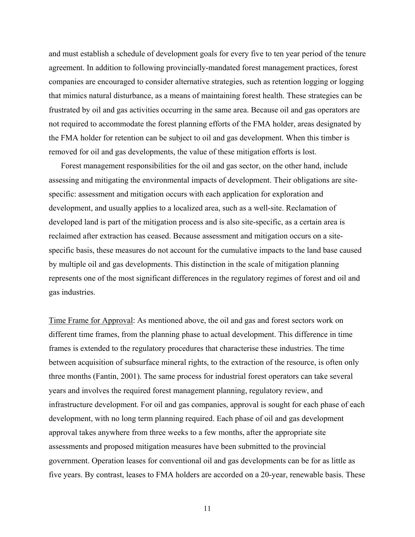and must establish a schedule of development goals for every five to ten year period of the tenure agreement. In addition to following provincially-mandated forest management practices, forest companies are encouraged to consider alternative strategies, such as retention logging or logging that mimics natural disturbance, as a means of maintaining forest health. These strategies can be frustrated by oil and gas activities occurring in the same area. Because oil and gas operators are not required to accommodate the forest planning efforts of the FMA holder, areas designated by the FMA holder for retention can be subject to oil and gas development. When this timber is removed for oil and gas developments, the value of these mitigation efforts is lost.

Forest management responsibilities for the oil and gas sector, on the other hand, include assessing and mitigating the environmental impacts of development. Their obligations are sitespecific: assessment and mitigation occurs with each application for exploration and development, and usually applies to a localized area, such as a well-site. Reclamation of developed land is part of the mitigation process and is also site-specific, as a certain area is reclaimed after extraction has ceased. Because assessment and mitigation occurs on a sitespecific basis, these measures do not account for the cumulative impacts to the land base caused by multiple oil and gas developments. This distinction in the scale of mitigation planning represents one of the most significant differences in the regulatory regimes of forest and oil and gas industries.

Time Frame for Approval: As mentioned above, the oil and gas and forest sectors work on different time frames, from the planning phase to actual development. This difference in time frames is extended to the regulatory procedures that characterise these industries. The time between acquisition of subsurface mineral rights, to the extraction of the resource, is often only three months (Fantin, 2001). The same process for industrial forest operators can take several years and involves the required forest management planning, regulatory review, and infrastructure development. For oil and gas companies, approval is sought for each phase of each development, with no long term planning required. Each phase of oil and gas development approval takes anywhere from three weeks to a few months, after the appropriate site assessments and proposed mitigation measures have been submitted to the provincial government. Operation leases for conventional oil and gas developments can be for as little as five years. By contrast, leases to FMA holders are accorded on a 20-year, renewable basis. These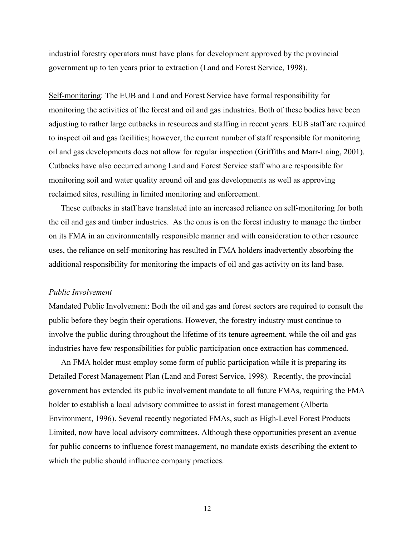industrial forestry operators must have plans for development approved by the provincial government up to ten years prior to extraction (Land and Forest Service, 1998).

Self-monitoring: The EUB and Land and Forest Service have formal responsibility for monitoring the activities of the forest and oil and gas industries. Both of these bodies have been adjusting to rather large cutbacks in resources and staffing in recent years. EUB staff are required to inspect oil and gas facilities; however, the current number of staff responsible for monitoring oil and gas developments does not allow for regular inspection (Griffiths and Marr-Laing, 2001). Cutbacks have also occurred among Land and Forest Service staff who are responsible for monitoring soil and water quality around oil and gas developments as well as approving reclaimed sites, resulting in limited monitoring and enforcement.

These cutbacks in staff have translated into an increased reliance on self-monitoring for both the oil and gas and timber industries. As the onus is on the forest industry to manage the timber on its FMA in an environmentally responsible manner and with consideration to other resource uses, the reliance on self-monitoring has resulted in FMA holders inadvertently absorbing the additional responsibility for monitoring the impacts of oil and gas activity on its land base.

#### *Public Involvement*

Mandated Public Involvement: Both the oil and gas and forest sectors are required to consult the public before they begin their operations. However, the forestry industry must continue to involve the public during throughout the lifetime of its tenure agreement, while the oil and gas industries have few responsibilities for public participation once extraction has commenced.

An FMA holder must employ some form of public participation while it is preparing its Detailed Forest Management Plan (Land and Forest Service, 1998). Recently, the provincial government has extended its public involvement mandate to all future FMAs, requiring the FMA holder to establish a local advisory committee to assist in forest management (Alberta Environment, 1996). Several recently negotiated FMAs, such as High-Level Forest Products Limited, now have local advisory committees. Although these opportunities present an avenue for public concerns to influence forest management, no mandate exists describing the extent to which the public should influence company practices.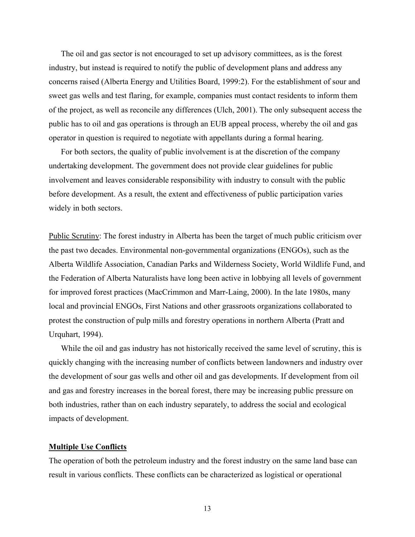The oil and gas sector is not encouraged to set up advisory committees, as is the forest industry, but instead is required to notify the public of development plans and address any concerns raised (Alberta Energy and Utilities Board, 1999:2). For the establishment of sour and sweet gas wells and test flaring, for example, companies must contact residents to inform them of the project, as well as reconcile any differences (Ulch, 2001). The only subsequent access the public has to oil and gas operations is through an EUB appeal process, whereby the oil and gas operator in question is required to negotiate with appellants during a formal hearing.

For both sectors, the quality of public involvement is at the discretion of the company undertaking development. The government does not provide clear guidelines for public involvement and leaves considerable responsibility with industry to consult with the public before development. As a result, the extent and effectiveness of public participation varies widely in both sectors.

Public Scrutiny: The forest industry in Alberta has been the target of much public criticism over the past two decades. Environmental non-governmental organizations (ENGOs), such as the Alberta Wildlife Association, Canadian Parks and Wilderness Society, World Wildlife Fund, and the Federation of Alberta Naturalists have long been active in lobbying all levels of government for improved forest practices (MacCrimmon and Marr-Laing, 2000). In the late 1980s, many local and provincial ENGOs, First Nations and other grassroots organizations collaborated to protest the construction of pulp mills and forestry operations in northern Alberta (Pratt and Urquhart, 1994).

While the oil and gas industry has not historically received the same level of scrutiny, this is quickly changing with the increasing number of conflicts between landowners and industry over the development of sour gas wells and other oil and gas developments. If development from oil and gas and forestry increases in the boreal forest, there may be increasing public pressure on both industries, rather than on each industry separately, to address the social and ecological impacts of development.

#### **Multiple Use Conflicts**

The operation of both the petroleum industry and the forest industry on the same land base can result in various conflicts. These conflicts can be characterized as logistical or operational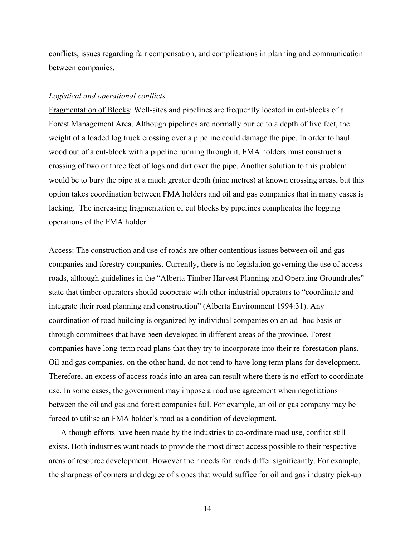conflicts, issues regarding fair compensation, and complications in planning and communication between companies.

#### *Logistical and operational conflicts*

Fragmentation of Blocks: Well-sites and pipelines are frequently located in cut-blocks of a Forest Management Area. Although pipelines are normally buried to a depth of five feet, the weight of a loaded log truck crossing over a pipeline could damage the pipe. In order to haul wood out of a cut-block with a pipeline running through it, FMA holders must construct a crossing of two or three feet of logs and dirt over the pipe. Another solution to this problem would be to bury the pipe at a much greater depth (nine metres) at known crossing areas, but this option takes coordination between FMA holders and oil and gas companies that in many cases is lacking. The increasing fragmentation of cut blocks by pipelines complicates the logging operations of the FMA holder.

Access: The construction and use of roads are other contentious issues between oil and gas companies and forestry companies. Currently, there is no legislation governing the use of access roads, although guidelines in the "Alberta Timber Harvest Planning and Operating Groundrules" state that timber operators should cooperate with other industrial operators to "coordinate and integrate their road planning and construction" (Alberta Environment 1994:31). Any coordination of road building is organized by individual companies on an ad- hoc basis or through committees that have been developed in different areas of the province. Forest companies have long-term road plans that they try to incorporate into their re-forestation plans. Oil and gas companies, on the other hand, do not tend to have long term plans for development. Therefore, an excess of access roads into an area can result where there is no effort to coordinate use. In some cases, the government may impose a road use agreement when negotiations between the oil and gas and forest companies fail. For example, an oil or gas company may be forced to utilise an FMA holder's road as a condition of development.

Although efforts have been made by the industries to co-ordinate road use, conflict still exists. Both industries want roads to provide the most direct access possible to their respective areas of resource development. However their needs for roads differ significantly. For example, the sharpness of corners and degree of slopes that would suffice for oil and gas industry pick-up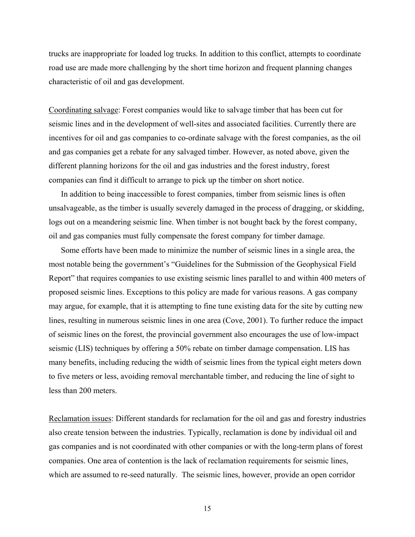trucks are inappropriate for loaded log trucks. In addition to this conflict, attempts to coordinate road use are made more challenging by the short time horizon and frequent planning changes characteristic of oil and gas development.

Coordinating salvage: Forest companies would like to salvage timber that has been cut for seismic lines and in the development of well-sites and associated facilities. Currently there are incentives for oil and gas companies to co-ordinate salvage with the forest companies, as the oil and gas companies get a rebate for any salvaged timber. However, as noted above, given the different planning horizons for the oil and gas industries and the forest industry, forest companies can find it difficult to arrange to pick up the timber on short notice.

In addition to being inaccessible to forest companies, timber from seismic lines is often unsalvageable, as the timber is usually severely damaged in the process of dragging, or skidding, logs out on a meandering seismic line. When timber is not bought back by the forest company, oil and gas companies must fully compensate the forest company for timber damage.

Some efforts have been made to minimize the number of seismic lines in a single area, the most notable being the government's "Guidelines for the Submission of the Geophysical Field Report" that requires companies to use existing seismic lines parallel to and within 400 meters of proposed seismic lines. Exceptions to this policy are made for various reasons. A gas company may argue, for example, that it is attempting to fine tune existing data for the site by cutting new lines, resulting in numerous seismic lines in one area (Cove, 2001). To further reduce the impact of seismic lines on the forest, the provincial government also encourages the use of low-impact seismic (LIS) techniques by offering a 50% rebate on timber damage compensation. LIS has many benefits, including reducing the width of seismic lines from the typical eight meters down to five meters or less, avoiding removal merchantable timber, and reducing the line of sight to less than 200 meters.

Reclamation issues: Different standards for reclamation for the oil and gas and forestry industries also create tension between the industries. Typically, reclamation is done by individual oil and gas companies and is not coordinated with other companies or with the long-term plans of forest companies. One area of contention is the lack of reclamation requirements for seismic lines, which are assumed to re-seed naturally. The seismic lines, however, provide an open corridor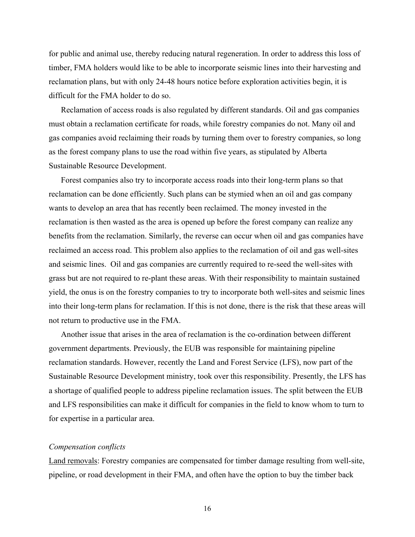for public and animal use, thereby reducing natural regeneration. In order to address this loss of timber, FMA holders would like to be able to incorporate seismic lines into their harvesting and reclamation plans, but with only 24-48 hours notice before exploration activities begin, it is difficult for the FMA holder to do so.

Reclamation of access roads is also regulated by different standards. Oil and gas companies must obtain a reclamation certificate for roads, while forestry companies do not. Many oil and gas companies avoid reclaiming their roads by turning them over to forestry companies, so long as the forest company plans to use the road within five years, as stipulated by Alberta Sustainable Resource Development.

Forest companies also try to incorporate access roads into their long-term plans so that reclamation can be done efficiently. Such plans can be stymied when an oil and gas company wants to develop an area that has recently been reclaimed. The money invested in the reclamation is then wasted as the area is opened up before the forest company can realize any benefits from the reclamation. Similarly, the reverse can occur when oil and gas companies have reclaimed an access road. This problem also applies to the reclamation of oil and gas well-sites and seismic lines. Oil and gas companies are currently required to re-seed the well-sites with grass but are not required to re-plant these areas. With their responsibility to maintain sustained yield, the onus is on the forestry companies to try to incorporate both well-sites and seismic lines into their long-term plans for reclamation. If this is not done, there is the risk that these areas will not return to productive use in the FMA.

Another issue that arises in the area of reclamation is the co-ordination between different government departments. Previously, the EUB was responsible for maintaining pipeline reclamation standards. However, recently the Land and Forest Service (LFS), now part of the Sustainable Resource Development ministry, took over this responsibility. Presently, the LFS has a shortage of qualified people to address pipeline reclamation issues. The split between the EUB and LFS responsibilities can make it difficult for companies in the field to know whom to turn to for expertise in a particular area.

#### *Compensation conflicts*

Land removals: Forestry companies are compensated for timber damage resulting from well-site, pipeline, or road development in their FMA, and often have the option to buy the timber back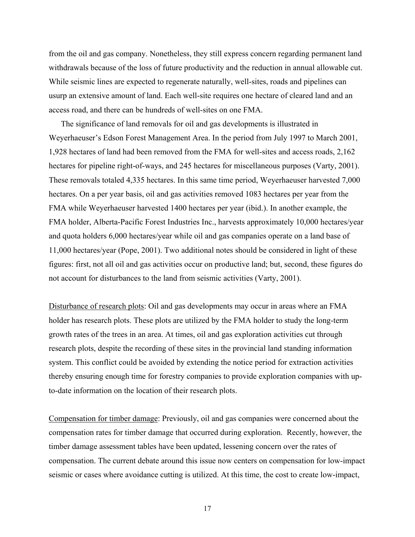from the oil and gas company. Nonetheless, they still express concern regarding permanent land withdrawals because of the loss of future productivity and the reduction in annual allowable cut. While seismic lines are expected to regenerate naturally, well-sites, roads and pipelines can usurp an extensive amount of land. Each well-site requires one hectare of cleared land and an access road, and there can be hundreds of well-sites on one FMA.

The significance of land removals for oil and gas developments is illustrated in Weyerhaeuser's Edson Forest Management Area. In the period from July 1997 to March 2001, 1,928 hectares of land had been removed from the FMA for well-sites and access roads, 2,162 hectares for pipeline right-of-ways, and 245 hectares for miscellaneous purposes (Varty, 2001). These removals totaled 4,335 hectares. In this same time period, Weyerhaeuser harvested 7,000 hectares. On a per year basis, oil and gas activities removed 1083 hectares per year from the FMA while Weyerhaeuser harvested 1400 hectares per year (ibid.). In another example, the FMA holder, Alberta-Pacific Forest Industries Inc., harvests approximately 10,000 hectares/year and quota holders 6,000 hectares/year while oil and gas companies operate on a land base of 11,000 hectares/year (Pope, 2001). Two additional notes should be considered in light of these figures: first, not all oil and gas activities occur on productive land; but, second, these figures do not account for disturbances to the land from seismic activities (Varty, 2001).

Disturbance of research plots: Oil and gas developments may occur in areas where an FMA holder has research plots. These plots are utilized by the FMA holder to study the long-term growth rates of the trees in an area. At times, oil and gas exploration activities cut through research plots, despite the recording of these sites in the provincial land standing information system. This conflict could be avoided by extending the notice period for extraction activities thereby ensuring enough time for forestry companies to provide exploration companies with upto-date information on the location of their research plots.

Compensation for timber damage: Previously, oil and gas companies were concerned about the compensation rates for timber damage that occurred during exploration. Recently, however, the timber damage assessment tables have been updated, lessening concern over the rates of compensation. The current debate around this issue now centers on compensation for low-impact seismic or cases where avoidance cutting is utilized. At this time, the cost to create low-impact,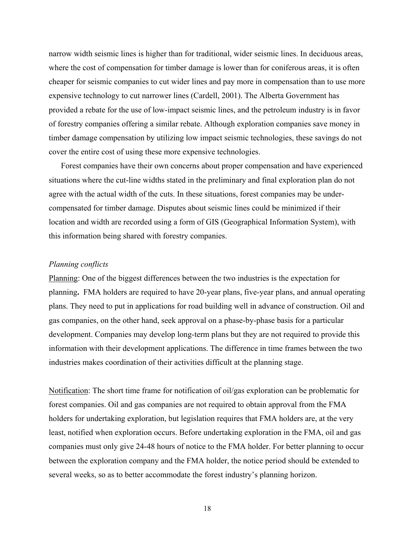narrow width seismic lines is higher than for traditional, wider seismic lines. In deciduous areas, where the cost of compensation for timber damage is lower than for coniferous areas, it is often cheaper for seismic companies to cut wider lines and pay more in compensation than to use more expensive technology to cut narrower lines (Cardell, 2001). The Alberta Government has provided a rebate for the use of low-impact seismic lines, and the petroleum industry is in favor of forestry companies offering a similar rebate. Although exploration companies save money in timber damage compensation by utilizing low impact seismic technologies, these savings do not cover the entire cost of using these more expensive technologies.

Forest companies have their own concerns about proper compensation and have experienced situations where the cut-line widths stated in the preliminary and final exploration plan do not agree with the actual width of the cuts. In these situations, forest companies may be undercompensated for timber damage. Disputes about seismic lines could be minimized if their location and width are recorded using a form of GIS (Geographical Information System), with this information being shared with forestry companies.

#### *Planning conflicts*

Planning: One of the biggest differences between the two industries is the expectation for planning**.** FMA holders are required to have 20-year plans, five-year plans, and annual operating plans. They need to put in applications for road building well in advance of construction. Oil and gas companies, on the other hand, seek approval on a phase-by-phase basis for a particular development. Companies may develop long-term plans but they are not required to provide this information with their development applications. The difference in time frames between the two industries makes coordination of their activities difficult at the planning stage.

Notification: The short time frame for notification of oil/gas exploration can be problematic for forest companies. Oil and gas companies are not required to obtain approval from the FMA holders for undertaking exploration, but legislation requires that FMA holders are, at the very least, notified when exploration occurs. Before undertaking exploration in the FMA, oil and gas companies must only give 24-48 hours of notice to the FMA holder. For better planning to occur between the exploration company and the FMA holder, the notice period should be extended to several weeks, so as to better accommodate the forest industry's planning horizon.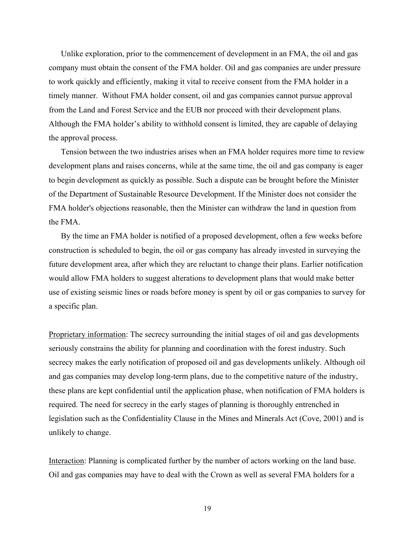Unlike exploration, prior to the commencement of development in an FMA, the oil and gas company must obtain the consent of the FMA holder. Oil and gas companies are under pressure to work quickly and efficiently, making it vital to receive consent from the FMA holder in a timely manner. Without FMA holder consent, oil and gas companies cannot pursue approval from the Land and Forest Service and the EUB nor proceed with their development plans. Although the FMA holder's ability to withhold consent is limited, they are capable of delaying the approval process.

Tension between the two industries arises when an FMA holder requires more time to review development plans and raises concerns, while at the same time, the oil and gas company is eager to begin development as quickly as possible. Such a dispute can be brought before the Minister of the Department of Sustainable Resource Development. If the Minister does not consider the FMA holder's objections reasonable, then the Minister can withdraw the land in question from the FMA.

By the time an FMA holder is notified of a proposed development, often a few weeks before construction is scheduled to begin, the oil or gas company has already invested in surveying the future development area, after which they are reluctant to change their plans. Earlier notification would allow FMA holders to suggest alterations to development plans that would make better use of existing seismic lines or roads before money is spent by oil or gas companies to survey for a specific plan.

Proprietary information: The secrecy surrounding the initial stages of oil and gas developments seriously constrains the ability for planning and coordination with the forest industry. Such secrecy makes the early notification of proposed oil and gas developments unlikely. Although oil and gas companies may develop long-term plans, due to the competitive nature of the industry, these plans are kept confidential until the application phase, when notification of FMA holders is required. The need for secrecy in the early stages of planning is thoroughly entrenched in legislation such as the Confidentiality Clause in the Mines and Minerals Act (Cove, 2001) and is unlikely to change.

Interaction: Planning is complicated further by the number of actors working on the land base. Oil and gas companies may have to deal with the Crown as well as several FMA holders for a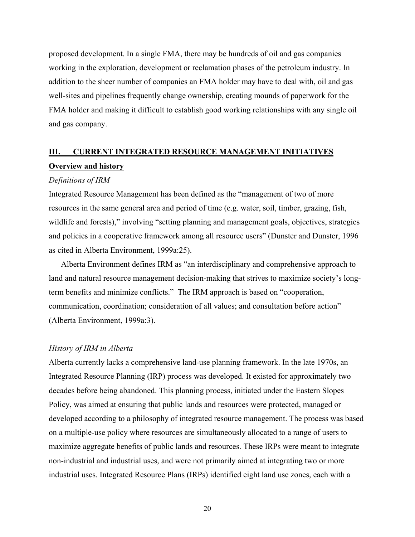proposed development. In a single FMA, there may be hundreds of oil and gas companies working in the exploration, development or reclamation phases of the petroleum industry. In addition to the sheer number of companies an FMA holder may have to deal with, oil and gas well-sites and pipelines frequently change ownership, creating mounds of paperwork for the FMA holder and making it difficult to establish good working relationships with any single oil and gas company.

### **III. CURRENT INTEGRATED RESOURCE MANAGEMENT INITIATIVES Overview and history**

#### *Definitions of IRM*

Integrated Resource Management has been defined as the "management of two of more resources in the same general area and period of time (e.g. water, soil, timber, grazing, fish, wildlife and forests)," involving "setting planning and management goals, objectives, strategies and policies in a cooperative framework among all resource users" (Dunster and Dunster, 1996 as cited in Alberta Environment, 1999a:25).

Alberta Environment defines IRM as "an interdisciplinary and comprehensive approach to land and natural resource management decision-making that strives to maximize society's longterm benefits and minimize conflicts." The IRM approach is based on "cooperation, communication, coordination; consideration of all values; and consultation before action" (Alberta Environment, 1999a:3).

#### *History of IRM in Alberta*

Alberta currently lacks a comprehensive land-use planning framework. In the late 1970s, an Integrated Resource Planning (IRP) process was developed. It existed for approximately two decades before being abandoned. This planning process, initiated under the Eastern Slopes Policy, was aimed at ensuring that public lands and resources were protected, managed or developed according to a philosophy of integrated resource management. The process was based on a multiple-use policy where resources are simultaneously allocated to a range of users to maximize aggregate benefits of public lands and resources. These IRPs were meant to integrate non-industrial and industrial uses, and were not primarily aimed at integrating two or more industrial uses. Integrated Resource Plans (IRPs) identified eight land use zones, each with a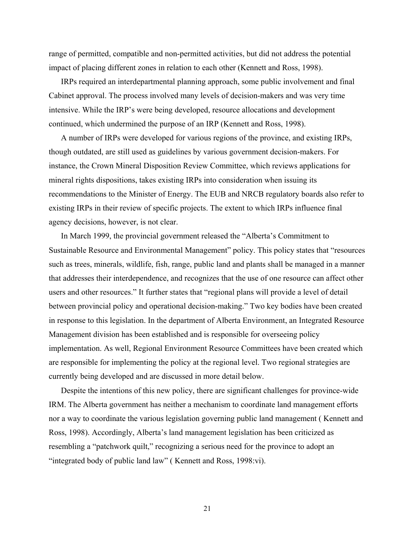range of permitted, compatible and non-permitted activities, but did not address the potential impact of placing different zones in relation to each other (Kennett and Ross, 1998).

IRPs required an interdepartmental planning approach, some public involvement and final Cabinet approval. The process involved many levels of decision-makers and was very time intensive. While the IRP's were being developed, resource allocations and development continued, which undermined the purpose of an IRP (Kennett and Ross, 1998).

A number of IRPs were developed for various regions of the province, and existing IRPs, though outdated, are still used as guidelines by various government decision-makers. For instance, the Crown Mineral Disposition Review Committee, which reviews applications for mineral rights dispositions, takes existing IRPs into consideration when issuing its recommendations to the Minister of Energy. The EUB and NRCB regulatory boards also refer to existing IRPs in their review of specific projects. The extent to which IRPs influence final agency decisions, however, is not clear.

In March 1999, the provincial government released the "Alberta's Commitment to Sustainable Resource and Environmental Management" policy. This policy states that "resources such as trees, minerals, wildlife, fish, range, public land and plants shall be managed in a manner that addresses their interdependence, and recognizes that the use of one resource can affect other users and other resources." It further states that "regional plans will provide a level of detail between provincial policy and operational decision-making." Two key bodies have been created in response to this legislation. In the department of Alberta Environment, an Integrated Resource Management division has been established and is responsible for overseeing policy implementation. As well, Regional Environment Resource Committees have been created which are responsible for implementing the policy at the regional level. Two regional strategies are currently being developed and are discussed in more detail below.

Despite the intentions of this new policy, there are significant challenges for province-wide IRM. The Alberta government has neither a mechanism to coordinate land management efforts nor a way to coordinate the various legislation governing public land management ( Kennett and Ross, 1998). Accordingly, Alberta's land management legislation has been criticized as resembling a "patchwork quilt," recognizing a serious need for the province to adopt an "integrated body of public land law" ( Kennett and Ross, 1998:vi).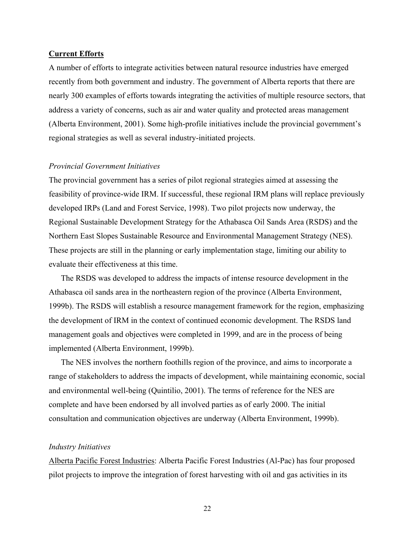#### **Current Efforts**

A number of efforts to integrate activities between natural resource industries have emerged recently from both government and industry. The government of Alberta reports that there are nearly 300 examples of efforts towards integrating the activities of multiple resource sectors, that address a variety of concerns, such as air and water quality and protected areas management (Alberta Environment, 2001). Some high-profile initiatives include the provincial government's regional strategies as well as several industry-initiated projects.

#### *Provincial Government Initiatives*

The provincial government has a series of pilot regional strategies aimed at assessing the feasibility of province-wide IRM. If successful, these regional IRM plans will replace previously developed IRPs (Land and Forest Service, 1998). Two pilot projects now underway, the Regional Sustainable Development Strategy for the Athabasca Oil Sands Area (RSDS) and the Northern East Slopes Sustainable Resource and Environmental Management Strategy (NES). These projects are still in the planning or early implementation stage, limiting our ability to evaluate their effectiveness at this time.

The RSDS was developed to address the impacts of intense resource development in the Athabasca oil sands area in the northeastern region of the province (Alberta Environment, 1999b). The RSDS will establish a resource management framework for the region, emphasizing the development of IRM in the context of continued economic development. The RSDS land management goals and objectives were completed in 1999, and are in the process of being implemented (Alberta Environment, 1999b).

The NES involves the northern foothills region of the province, and aims to incorporate a range of stakeholders to address the impacts of development, while maintaining economic, social and environmental well-being (Quintilio, 2001). The terms of reference for the NES are complete and have been endorsed by all involved parties as of early 2000. The initial consultation and communication objectives are underway (Alberta Environment, 1999b).

#### *Industry Initiatives*

Alberta Pacific Forest Industries: Alberta Pacific Forest Industries (Al-Pac) has four proposed pilot projects to improve the integration of forest harvesting with oil and gas activities in its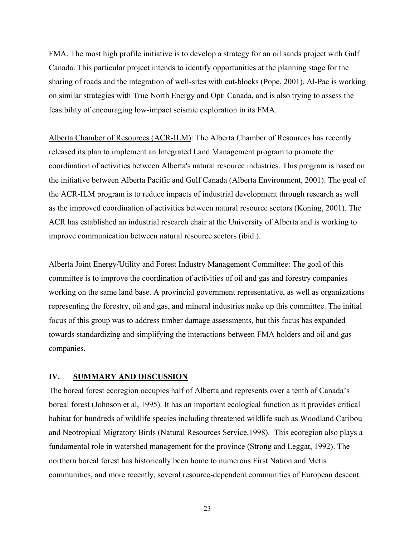FMA. The most high profile initiative is to develop a strategy for an oil sands project with Gulf Canada. This particular project intends to identify opportunities at the planning stage for the sharing of roads and the integration of well-sites with cut-blocks (Pope, 2001). Al-Pac is working on similar strategies with True North Energy and Opti Canada, and is also trying to assess the feasibility of encouraging low-impact seismic exploration in its FMA.

Alberta Chamber of Resources (ACR-ILM): The Alberta Chamber of Resources has recently released its plan to implement an Integrated Land Management program to promote the coordination of activities between Alberta's natural resource industries. This program is based on the initiative between Alberta Pacific and Gulf Canada (Alberta Environment, 2001). The goal of the ACR-ILM program is to reduce impacts of industrial development through research as well as the improved coordination of activities between natural resource sectors (Koning, 2001). The ACR has established an industrial research chair at the University of Alberta and is working to improve communication between natural resource sectors (ibid.).

Alberta Joint Energy/Utility and Forest Industry Management Committee: The goal of this committee is to improve the coordination of activities of oil and gas and forestry companies working on the same land base. A provincial government representative, as well as organizations representing the forestry, oil and gas, and mineral industries make up this committee. The initial focus of this group was to address timber damage assessments, but this focus has expanded towards standardizing and simplifying the interactions between FMA holders and oil and gas companies.

#### **IV. SUMMARY AND DISCUSSION**

The boreal forest ecoregion occupies half of Alberta and represents over a tenth of Canada's boreal forest (Johnson et al, 1995). It has an important ecological function as it provides critical habitat for hundreds of wildlife species including threatened wildlife such as Woodland Caribou and Neotropical Migratory Birds (Natural Resources Service,1998). This ecoregion also plays a fundamental role in watershed management for the province (Strong and Leggat, 1992). The northern boreal forest has historically been home to numerous First Nation and Metis communities, and more recently, several resource-dependent communities of European descent.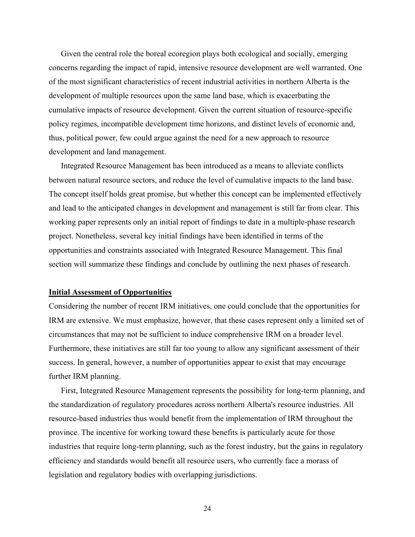Given the central role the boreal ecoregion plays both ecological and socially, emerging concerns regarding the impact of rapid, intensive resource development are well warranted. One of the most significant characteristics of recent industrial activities in northern Alberta is the development of multiple resources upon the same land base, which is exacerbating the cumulative impacts of resource development. Given the current situation of resource-specific policy regimes, incompatible development time horizons, and distinct levels of economic and, thus, political power, few could argue against the need for a new approach to resource development and land management.

Integrated Resource Management has been introduced as a means to alleviate conflicts between natural resource sectors, and reduce the level of cumulative impacts to the land base. The concept itself holds great promise, but whether this concept can be implemented effectively and lead to the anticipated changes in development and management is still far from clear. This working paper represents only an initial report of findings to date in a multiple-phase research project. Nonetheless, several key initial findings have been identified in terms of the opportunities and constraints associated with Integrated Resource Management. This final section will summarize these findings and conclude by outlining the next phases of research.

#### **Initial Assessment of Opportunities**

Considering the number of recent IRM initiatives, one could conclude that the opportunities for IRM are extensive. We must emphasize, however, that these cases represent only a limited set of circumstances that may not be sufficient to induce comprehensive IRM on a broader level. Furthermore, these initiatives are still far too young to allow any significant assessment of their success. In general, however, a number of opportunities appear to exist that may encourage further IRM planning.

First, Integrated Resource Management represents the possibility for long-term planning, and the standardization of regulatory procedures across northern Alberta's resource industries. All resource-based industries thus would benefit from the implementation of IRM throughout the province. The incentive for working toward these benefits is particularly acute for those industries that require long-term planning, such as the forest industry, but the gains in regulatory efficiency and standards would benefit all resource users, who currently face a morass of legislation and regulatory bodies with overlapping jurisdictions.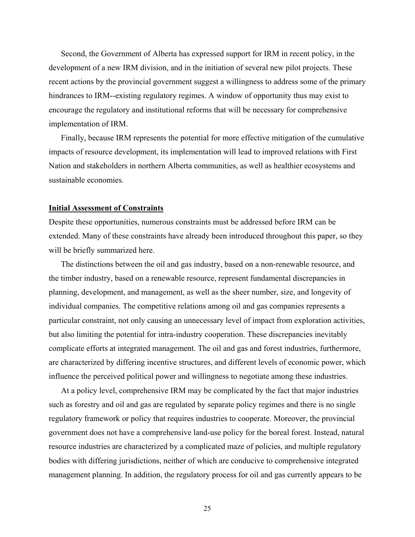Second, the Government of Alberta has expressed support for IRM in recent policy, in the development of a new IRM division, and in the initiation of several new pilot projects. These recent actions by the provincial government suggest a willingness to address some of the primary hindrances to IRM--existing regulatory regimes. A window of opportunity thus may exist to encourage the regulatory and institutional reforms that will be necessary for comprehensive implementation of IRM.

Finally, because IRM represents the potential for more effective mitigation of the cumulative impacts of resource development, its implementation will lead to improved relations with First Nation and stakeholders in northern Alberta communities, as well as healthier ecosystems and sustainable economies.

#### **Initial Assessment of Constraints**

Despite these opportunities, numerous constraints must be addressed before IRM can be extended. Many of these constraints have already been introduced throughout this paper, so they will be briefly summarized here.

The distinctions between the oil and gas industry, based on a non-renewable resource, and the timber industry, based on a renewable resource, represent fundamental discrepancies in planning, development, and management, as well as the sheer number, size, and longevity of individual companies. The competitive relations among oil and gas companies represents a particular constraint, not only causing an unnecessary level of impact from exploration activities, but also limiting the potential for intra-industry cooperation. These discrepancies inevitably complicate efforts at integrated management. The oil and gas and forest industries, furthermore, are characterized by differing incentive structures, and different levels of economic power, which influence the perceived political power and willingness to negotiate among these industries.

At a policy level, comprehensive IRM may be complicated by the fact that major industries such as forestry and oil and gas are regulated by separate policy regimes and there is no single regulatory framework or policy that requires industries to cooperate. Moreover, the provincial government does not have a comprehensive land-use policy for the boreal forest. Instead, natural resource industries are characterized by a complicated maze of policies, and multiple regulatory bodies with differing jurisdictions, neither of which are conducive to comprehensive integrated management planning. In addition, the regulatory process for oil and gas currently appears to be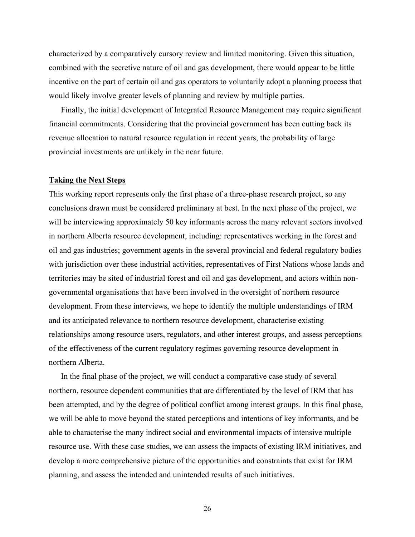characterized by a comparatively cursory review and limited monitoring. Given this situation, combined with the secretive nature of oil and gas development, there would appear to be little incentive on the part of certain oil and gas operators to voluntarily adopt a planning process that would likely involve greater levels of planning and review by multiple parties.

Finally, the initial development of Integrated Resource Management may require significant financial commitments. Considering that the provincial government has been cutting back its revenue allocation to natural resource regulation in recent years, the probability of large provincial investments are unlikely in the near future.

#### **Taking the Next Steps**

This working report represents only the first phase of a three-phase research project, so any conclusions drawn must be considered preliminary at best. In the next phase of the project, we will be interviewing approximately 50 key informants across the many relevant sectors involved in northern Alberta resource development, including: representatives working in the forest and oil and gas industries; government agents in the several provincial and federal regulatory bodies with jurisdiction over these industrial activities, representatives of First Nations whose lands and territories may be sited of industrial forest and oil and gas development, and actors within nongovernmental organisations that have been involved in the oversight of northern resource development. From these interviews, we hope to identify the multiple understandings of IRM and its anticipated relevance to northern resource development, characterise existing relationships among resource users, regulators, and other interest groups, and assess perceptions of the effectiveness of the current regulatory regimes governing resource development in northern Alberta.

In the final phase of the project, we will conduct a comparative case study of several northern, resource dependent communities that are differentiated by the level of IRM that has been attempted, and by the degree of political conflict among interest groups. In this final phase, we will be able to move beyond the stated perceptions and intentions of key informants, and be able to characterise the many indirect social and environmental impacts of intensive multiple resource use. With these case studies, we can assess the impacts of existing IRM initiatives, and develop a more comprehensive picture of the opportunities and constraints that exist for IRM planning, and assess the intended and unintended results of such initiatives.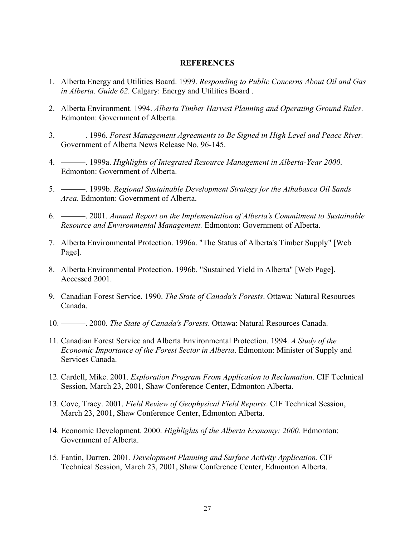#### **REFERENCES**

- 1. Alberta Energy and Utilities Board. 1999. *Responding to Public Concerns About Oil and Gas in Alberta. Guide 62*. Calgary: Energy and Utilities Board .
- 2. Alberta Environment. 1994. *Alberta Timber Harvest Planning and Operating Ground Rules*. Edmonton: Government of Alberta.
- 3. ———. 1996. *Forest Management Agreements to Be Signed in High Level and Peace River.* Government of Alberta News Release No. 96-145.
- 4. ———. 1999a. *Highlights of Integrated Resource Management in Alberta-Year 2000*. Edmonton: Government of Alberta.
- 5. ———. 1999b. *Regional Sustainable Development Strategy for the Athabasca Oil Sands Area*. Edmonton: Government of Alberta.
- 6. ———. 2001. *Annual Report on the Implementation of Alberta's Commitment to Sustainable Resource and Environmental Management.* Edmonton: Government of Alberta.
- 7. Alberta Environmental Protection. 1996a. "The Status of Alberta's Timber Supply" [Web Page].
- 8. Alberta Environmental Protection. 1996b. "Sustained Yield in Alberta" [Web Page]. Accessed 2001.
- 9. Canadian Forest Service. 1990. *The State of Canada's Forests*. Ottawa: Natural Resources Canada.
- 10. ———. 2000. *The State of Canada's Forests*. Ottawa: Natural Resources Canada.
- 11. Canadian Forest Service and Alberta Environmental Protection. 1994. *A Study of the Economic Importance of the Forest Sector in Alberta*. Edmonton: Minister of Supply and Services Canada.
- 12. Cardell, Mike. 2001. *Exploration Program From Application to Reclamation*. CIF Technical Session, March 23, 2001, Shaw Conference Center, Edmonton Alberta.
- 13. Cove, Tracy. 2001. *Field Review of Geophysical Field Reports*. CIF Technical Session, March 23, 2001, Shaw Conference Center, Edmonton Alberta.
- 14. Economic Development. 2000. *Highlights of the Alberta Economy: 2000.* Edmonton: Government of Alberta.
- 15. Fantin, Darren. 2001. *Development Planning and Surface Activity Application*. CIF Technical Session, March 23, 2001, Shaw Conference Center, Edmonton Alberta.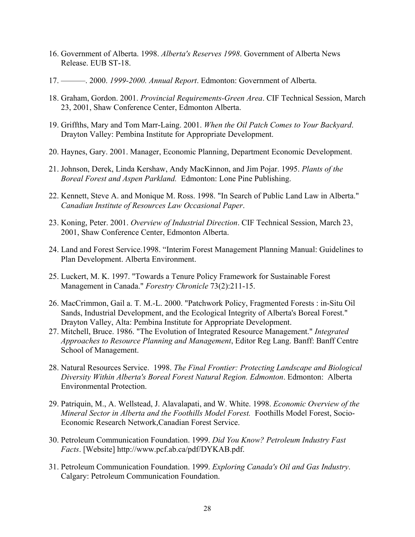- 16. Government of Alberta. 1998. *Alberta's Reserves 1998*. Government of Alberta News Release. EUB ST-18.
- 17. ———. 2000. *1999-2000. Annual Report*. Edmonton: Government of Alberta.
- 18. Graham, Gordon. 2001. *Provincial Requirements-Green Area*. CIF Technical Session, March 23, 2001, Shaw Conference Center, Edmonton Alberta.
- 19. Griffths, Mary and Tom Marr-Laing. 2001. *When the Oil Patch Comes to Your Backyard*. Drayton Valley: Pembina Institute for Appropriate Development.
- 20. Haynes, Gary. 2001. Manager, Economic Planning, Department Economic Development.
- 21. Johnson, Derek, Linda Kershaw, Andy MacKinnon, and Jim Pojar. 1995. *Plants of the Boreal Forest and Aspen Parkland.* Edmonton: Lone Pine Publishing.
- 22. Kennett, Steve A. and Monique M. Ross. 1998. "In Search of Public Land Law in Alberta." *Canadian Institute of Resources Law Occasional Paper*.
- 23. Koning, Peter. 2001. *Overview of Industrial Direction*. CIF Technical Session, March 23, 2001, Shaw Conference Center, Edmonton Alberta.
- 24. Land and Forest Service.1998. "Interim Forest Management Planning Manual: Guidelines to Plan Development. Alberta Environment.
- 25. Luckert, M. K. 1997. "Towards a Tenure Policy Framework for Sustainable Forest Management in Canada." *Forestry Chronicle* 73(2):211-15.
- 26. MacCrimmon, Gail a. T. M.-L. 2000. "Patchwork Policy, Fragmented Forests : in-Situ Oil Sands, Industrial Development, and the Ecological Integrity of Alberta's Boreal Forest." Drayton Valley, Alta: Pembina Institute for Appropriate Development.
- 27. Mitchell, Bruce. 1986. "The Evolution of Integrated Resource Management." *Integrated Approaches to Resource Planning and Management*, Editor Reg Lang. Banff: Banff Centre School of Management.
- 28. Natural Resources Service. 1998. *The Final Frontier: Protecting Landscape and Biological Diversity Within Alberta's Boreal Forest Natural Region. Edmonton*. Edmonton: Alberta Environmental Protection.
- 29. Patriquin, M., A. Wellstead, J. Alavalapati, and W. White. 1998. *Economic Overview of the Mineral Sector in Alberta and the Foothills Model Forest.* Foothills Model Forest, Socio-Economic Research Network,Canadian Forest Service.
- 30. Petroleum Communication Foundation. 1999. *Did You Know? Petroleum Industry Fast Facts*. [Website] http://www.pcf.ab.ca/pdf/DYKAB.pdf.
- 31. Petroleum Communication Foundation. 1999. *Exploring Canada's Oil and Gas Industry*. Calgary: Petroleum Communication Foundation.